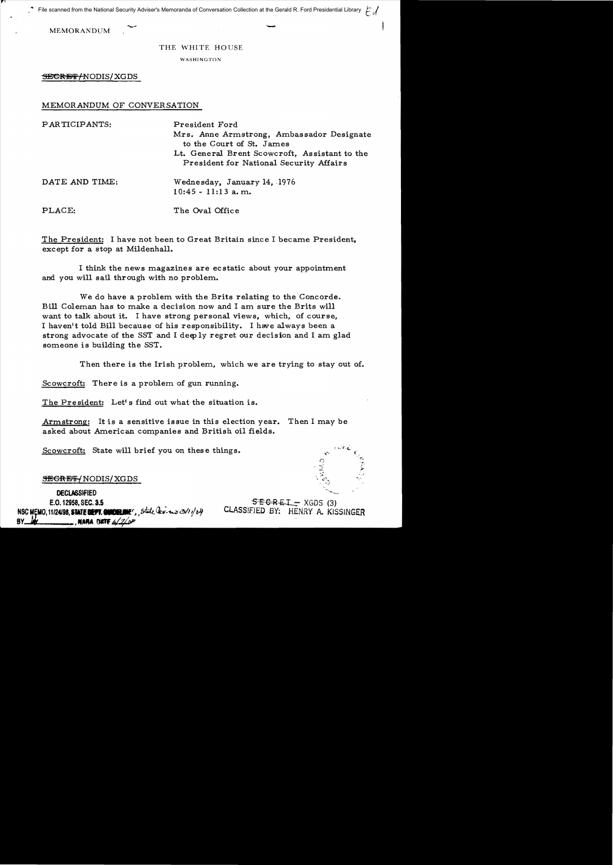File scanned from the National Security Adviser's Memoranda of Conversation Collection at the Gerald R. Ford Presidential Library  $\epsilon$ 

 $\mathbf{I}$ 

## THE WHITE HOUSE

WASHINGTON

SEGREF/NODIS/XGDS

## MEMORANDUM OF CONVERSATION

| PARTICIPANTS:  | President Ford<br>Mrs. Anne Armstrong, Ambassador Designate<br>to the Court of St. James<br>Lt. General Brent Scowcroft, Assistant to the<br>President for National Security Affairs |
|----------------|--------------------------------------------------------------------------------------------------------------------------------------------------------------------------------------|
| DATE AND TIME: | Wednesday, January 14, 1976<br>$10:45 - 11:13$ a.m.                                                                                                                                  |
| PLACE:         | The Oval Office                                                                                                                                                                      |

The President: I have not been to Great Britain since I became President, except for a stop at Mildenhall.

I think the news magazines are ecstatic about your appointment and you will sail thr ough with no problem.

We do have a problem with the Brits relating to the Concorde. Bill Coleman has to make a decision now and I am sure the Brits will want to talk about it. I have strong personal views, which, of course, I haven1t told Bill because of his responsibility. I have always been a strong advocate of the SST and I deeply regret our decision and I am glad someone is building the SST.

Then there is the Irish problem, which we are trying to stay out of.

Scowcroft: There is a problem of gun running.

The President: Let's find out what the situation is.

Armstrong: It is a sensitive issue in this election year. Then I may be asked about American companies and British oil fields.

Scowcroft: State will brief you on these things.

**SEGRET/NODIS/XGDS** 

**DECLASSIFIED** E.O. 12958, SEC. 3.5 NSC MEMO, 11/24/98, STATE DEPT. CONDERNIES, State lev- 23/1/04 **BY** . NARA DIKTE 6/2/or

 $SEBREI - XGDS (3)$ CLAsSIfIED BY: HENRY A. KISSINGER

, ...,

 $\tilde{\psi}$  .

, ":"3'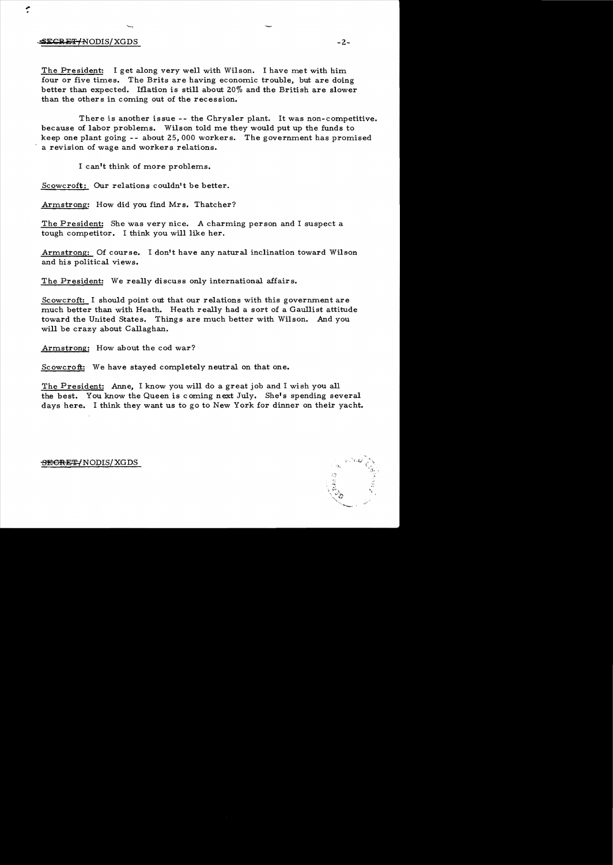## $SEGREF/ NODIS/XGDS$  -2.

.,. •

> The President: I get along very well with Wilson. I have met with him four or five times. The Brits are having economic trouble, but are doing better than expected. Iflation is still about 20% and the British are slower than the others in coming out of the recession.

There is another issue -- the Chrysler plant. It was non-competitive. because of labor problems. Wilson told me they would put up the funds to keep one plant going - - about 25,000 workers. The government has promised a revision of wage and workers relations.

I can**It** think of more problems.

Scowcroft: Our relations couldn't be better.

Armstrong: How did you find Mrs. Thatcher?

The President: She was very nice. A charming person and I suspect a tough competitor. I think you will like her.

Armstrong: Of course. I don't have any natural inclination toward Wilson and his political views.

The President: We really discuss only international affairs.

Scowcroft: I should point out that our relations with this government are much better than with Heath. Heath really had a sort of a Gaullist attitude toward the United States. Things are much better with Wilson. And you will be crazy about Callaghan.

Armstrong: How about the cod war?

Scowcroft: We have stayed completely neutral on that one.

The President: Anne, I know you will do a great job and I wish you all the best. You know the Queen is coming next July. She's spending several days here. I think they want us to go to New York for dinner on their yacht.

## <del>SECRET/</del>NODIS/XGDS

 $\mathcal{L}$  $\overline{\alpha}, \overline{\alpha}, \overline{\alpha}, \overline{\alpha}, \overline{\alpha}, \overline{\alpha}$  $\mathbb{S}_n$ ,  $\mathbb{S}^n$  $" \sim"$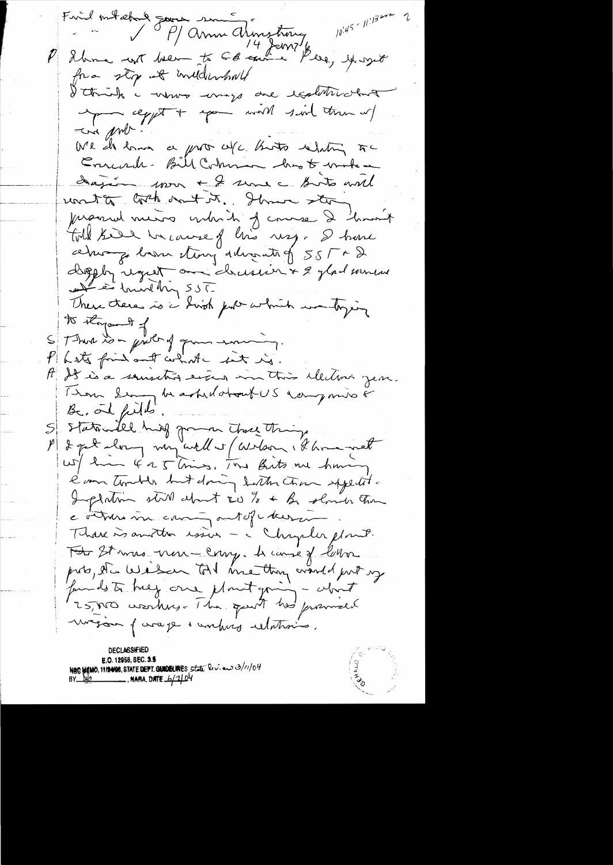$10^{445} \cdot 11^{130}$ Find ontebral Journal since of constructions P 26 mars von 14 Jan 216 fra sty at inddenhall I think a whom mays are realwhich the wind him with the effect of the more of circa prob-We do have a pro w/c. thats whitey to Errecrede-Bill Cohnen hast make dagém 1000 + 2 seme a Bosto will unita coch ont it. Show stor procede mesos entre de course 2 hor  $+$ told kill herause of this usy. I have ce sur pour sting d'invantig 555 = Depply regret on chassier & 2 glad sources There there is a high pull which was bygging to thypout of Sthere is a girl of from moning. P hate friend and what we let in. A It is a sousition even in this election year. Thou Ser de astrilation la rangunão  $B_2$ , and fields. S statemelle huis pour the tring e'm tomber but doing bath than squatit. Implation still about  $\epsilon_0$  to  $\epsilon$  by slower than e ottoms in comme out of cheese Thave is another issue - a Chapter plant. Toto St mas non-comp. A came of low proto, du Wilson Toll me thoughwith up megan furage + unhurs relations. E.O. 12958, SEC. 3.5 NOC MEMO, 11/2408, STATE DEPT. GUIDELINES, State Rev. ew 3/11/04  $\frac{1}{2}$ , nafia, date  $\frac{1}{2}$   $\frac{1}{2}$